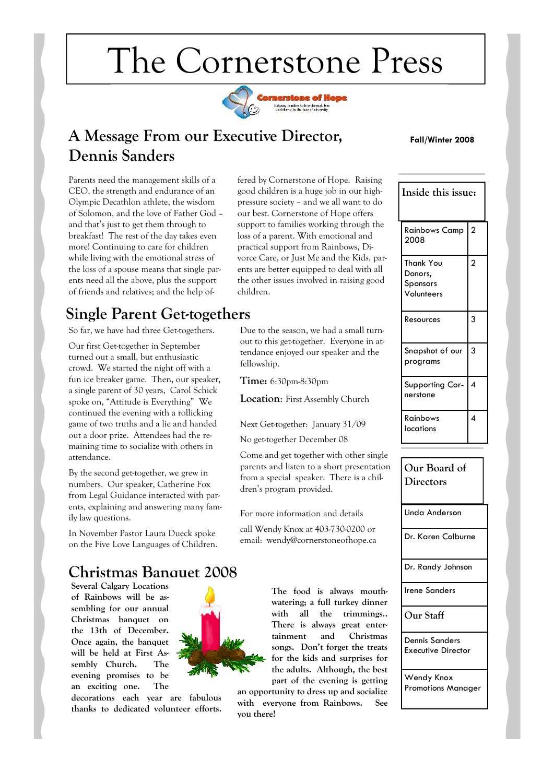# The Cornerstone Press



### **A Message From our Executive Director, Dennis Sanders**

**Fall/Winter 2008**

Parents need the management skills of a CEO, the strength and endurance of an Olympic Decathlon athlete, the wisdom of Solomon, and the love of Father God – and that's just to get them through to breakfast! The rest of the day takes even more! Continuing to care for children while living with the emotional stress of the loss of a spouse means that single parents need all the above, plus the support of friends and relatives; and the help of-

# **Single Parent Get-togethers**

So far, we have had three Get-togethers.

Our first Get-together in September turned out a small, but enthusiastic crowd. We started the night off with a fun ice breaker game. Then, our speaker, a single parent of 30 years, Carol Schick spoke on, "Attitude is Everything" We continued the evening with a rollicking game of two truths and a lie and handed out a door prize. Attendees had the remaining time to socialize with others in attendance.

By the second get-together, we grew in numbers. Our speaker, Catherine Fox from Legal Guidance interacted with parents, explaining and answering many family law questions.

In November Pastor Laura Dueck spoke on the Five Love Languages of Children.

### **Christmas Banquet 2008**

**Several Calgary Locations of Rainbows will be assembling for our annual Christmas banquet on the 13th of December. Once again, the banquet will be held at First Assembly Church. The evening promises to be an exciting one. The** 

**decorations each year are fabulous thanks to dedicated volunteer efforts.** 

fered by Cornerstone of Hope. Raising good children is a huge job in our highpressure society – and we all want to do our best. Cornerstone of Hope offers support to families working through the loss of a parent. With emotional and practical support from Rainbows, Divorce Care, or Just Me and the Kids, parents are better equipped to deal with all the other issues involved in raising good children.

Due to the season, we had a small turnout to this get-together. Everyone in attendance enjoyed our speaker and the fellowship.

**Time:** 6:30pm-8:30pm

**Location**: First Assembly Church

Next Get-together: January 31/09

No get-together December 08

Come and get together with other single parents and listen to a short presentation from a special speaker. There is a children's program provided.

For more information and details

call Wendy Knox at 403-730-0200 or email: wendy@cornerstoneofhope.ca

> **The food is always mouthwatering; a full turkey dinner with all the trimmings.. There is always great entertainment and Christmas songs. Don't forget the treats for the kids and surprises for the adults. Although, the best part of the evening is getting**

**an opportunity to dress up and socialize with everyone from Rainbows. See you there!** 

| Inside this issue:                             |                |
|------------------------------------------------|----------------|
| <b>Rainbows Camp</b><br>2008                   | $\overline{a}$ |
| Thank You<br>Donors,<br>Sponsors<br>Volunteers | $\overline{a}$ |
| Resources                                      | 3              |
| Snapshot of our<br>programs                    | 3              |
| Supporting Cor-<br>nerstone                    | 4              |
| Rainbows<br>locations                          | 4              |

Linda Anderson Dr. Karen Colburne Dr. Randy Johnson Irene Sanders **Our Staff** Dennis Sanders Executive Director **Our Board of Directors**

Wendy Knox Promotions Manager

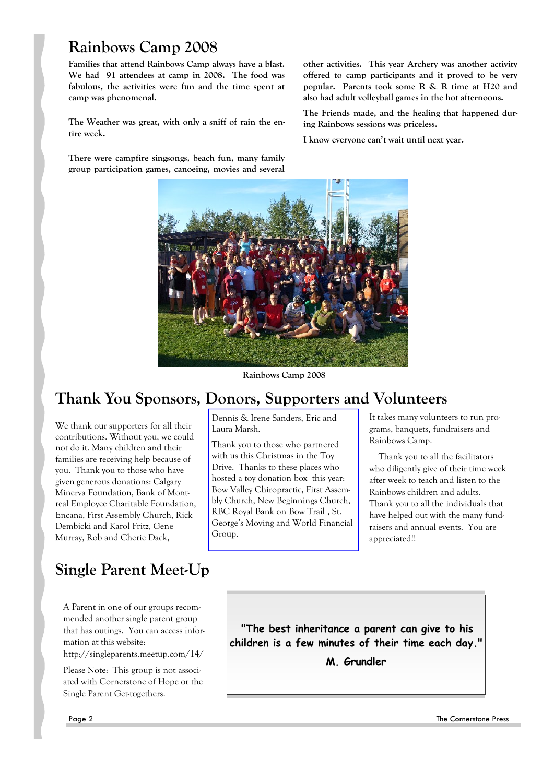## **Rainbows Camp 2008**

**Families that attend Rainbows Camp always have a blast. We had 91 attendees at camp in 2008. The food was fabulous, the activities were fun and the time spent at camp was phenomenal.**

**The Weather was great, with only a sniff of rain the entire week.** 

**There were campfire singsongs, beach fun, many family group participation games, canoeing, movies and several**  **other activities. This year Archery was another activity offered to camp participants and it proved to be very popular. Parents took some R & R time at H20 and also had adult volleyball games in the hot afternoons.**

**The Friends made, and the healing that happened during Rainbows sessions was priceless.** 

**I know everyone can't wait until next year.** 



**Rainbows Camp 2008**

# **Thank You Sponsors, Donors, Supporters and Volunteers**

We thank our supporters for all their contributions. Without you, we could not do it. Many children and their families are receiving help because of you. Thank you to those who have given generous donations: Calgary Minerva Foundation, Bank of Montreal Employee Charitable Foundation, Encana, First Assembly Church, Rick Dembicki and Karol Fritz, Gene Murray, Rob and Cherie Dack,

# **Single Parent Meet-Up**

A Parent in one of our groups recommended another single parent group that has outings. You can access information at this website:

http://singleparents.meetup.com/14/

Please Note: This group is not associated with Cornerstone of Hope or the Single Parent Get-togethers.

Dennis & Irene Sanders, Eric and Laura Marsh.

Thank you to those who partnered with us this Christmas in the Toy Drive. Thanks to these places who hosted a toy donation box this year: Bow Valley Chiropractic, First Assembly Church, New Beginnings Church, RBC Royal Bank on Bow Trail , St. George's Moving and World Financial Group.

It takes many volunteers to run programs, banquets, fundraisers and Rainbows Camp.

 Thank you to all the facilitators who diligently give of their time week after week to teach and listen to the Rainbows children and adults. Thank you to all the individuals that have helped out with the many fundraisers and annual events. You are appreciated!!

**"The best inheritance a parent can give to his children is a few minutes of their time each day."** 

**M. Grundler**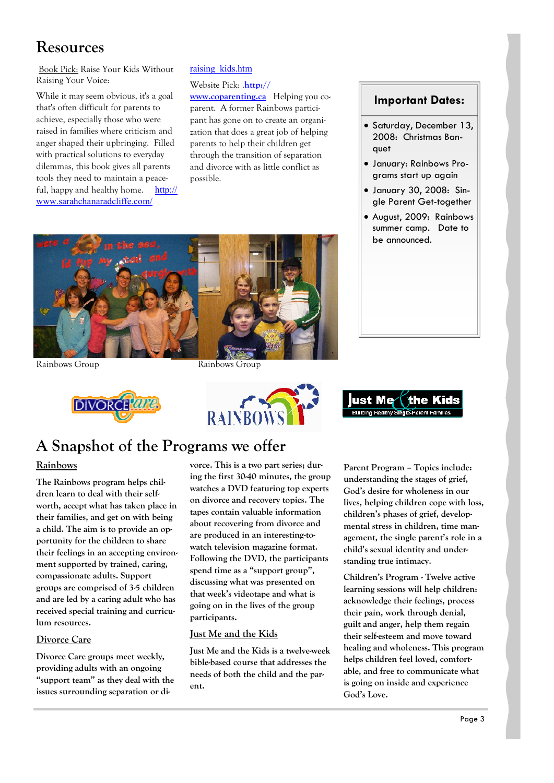# **Resources**

Book Pick: Raise Your Kids Without Raising Your Voice:

While it may seem obvious, it's a goal that's often difficult for parents to achieve, especially those who were raised in families where criticism and anger shaped their upbringing. Filled with practical solutions to everyday dilemmas, this book gives all parents tools they need to maintain a peaceful, happy and healthy home. http:// www.sarahchanaradcliffe.com/

#### raising\_kids.htm

Website Pick: .**http://**

**www.coparenting.ca** Helping you coparent. A former Rainbows participant has gone on to create an organization that does a great job of helping parents to help their children get through the transition of separation and divorce with as little conflict as possible.

### **Important Dates:**

- Saturday, December 13, 2008: Christmas Banquet
- January: Rainbows Programs start up again
- January 30, 2008: Single Parent Get-together
- August, 2009: Rainbows summer camp. Date to be announced.









# **A Snapshot of the Programs we offer**

### **Rainbows**

**The Rainbows program helps children learn to deal with their selfworth, accept what has taken place in their families, and get on with being a child. The aim is to provide an opportunity for the children to share their feelings in an accepting environment supported by trained, caring, compassionate adults. Support groups are comprised of 3-5 children and are led by a caring adult who has received special training and curriculum resources.** 

#### **Divorce Care**

**Divorce Care groups meet weekly, providing adults with an ongoing "support team" as they deal with the issues surrounding separation or di-** **vorce. This is a two part series; during the first 30-40 minutes, the group watches a DVD featuring top experts on divorce and recovery topics. The tapes contain valuable information about recovering from divorce and are produced in an interesting-towatch television magazine format. Following the DVD, the participants spend time as a "support group", discussing what was presented on that week's videotape and what is going on in the lives of the group participants.** 

### **Just Me and the Kids**

**Just Me and the Kids is a twelve-week bible-based course that addresses the needs of both the child and the parent.** 

**Parent Program – Topics include: understanding the stages of grief, God's desire for wholeness in our lives, helping children cope with loss, children's phases of grief, developmental stress in children, time management, the single parent's role in a child's sexual identity and understanding true intimacy.** 

**Children's Program - Twelve active learning sessions will help children: acknowledge their feelings, process their pain, work through denial, guilt and anger, help them regain their self-esteem and move toward healing and wholeness. This program helps children feel loved, comfortable, and free to communicate what is going on inside and experience God's Love.**